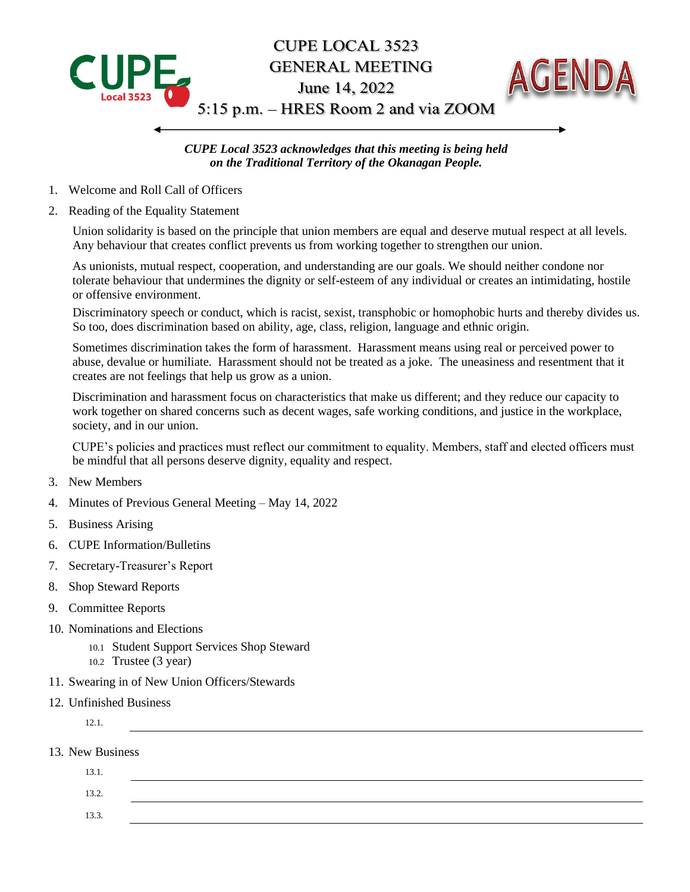

*CUPE Local 3523 acknowledges that this meeting is being held on the Traditional Territory of the Okanagan People.*

- 1. Welcome and Roll Call of Officers
- 2. Reading of the Equality Statement

Union solidarity is based on the principle that union members are equal and deserve mutual respect at all levels. Any behaviour that creates conflict prevents us from working together to strengthen our union.

As unionists, mutual respect, cooperation, and understanding are our goals. We should neither condone nor tolerate behaviour that undermines the dignity or self-esteem of any individual or creates an intimidating, hostile or offensive environment.

Discriminatory speech or conduct, which is racist, sexist, transphobic or homophobic hurts and thereby divides us. So too, does discrimination based on ability, age, class, religion, language and ethnic origin.

Sometimes discrimination takes the form of harassment. Harassment means using real or perceived power to abuse, devalue or humiliate. Harassment should not be treated as a joke. The uneasiness and resentment that it creates are not feelings that help us grow as a union.

Discrimination and harassment focus on characteristics that make us different; and they reduce our capacity to work together on shared concerns such as decent wages, safe working conditions, and justice in the workplace, society, and in our union.

CUPE's policies and practices must reflect our commitment to equality. Members, staff and elected officers must be mindful that all persons deserve dignity, equality and respect.

- 3. New Members
- 4. Minutes of Previous General Meeting May 14, 2022
- 5. Business Arising
- 6. CUPE Information/Bulletins
- 7. Secretary-Treasurer's Report
- 8. Shop Steward Reports
- 9. Committee Reports
- 10. Nominations and Elections
	- 10.1 Student Support Services Shop Steward
	- 10.2 Trustee (3 year)
- 11. Swearing in of New Union Officers/Stewards
- 12. Unfinished Business
	- 12.1.
- 13. New Business

| 13.1. |  |  |  |
|-------|--|--|--|
| 13.2. |  |  |  |
| 13.3. |  |  |  |